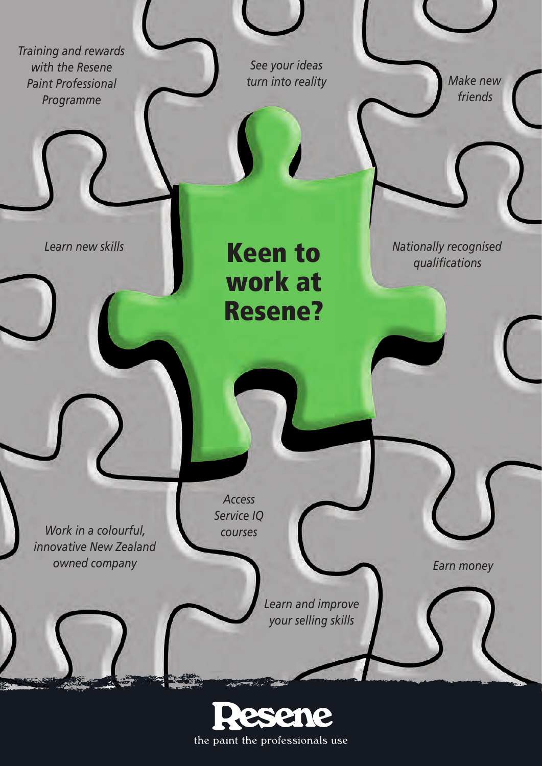*Training and rewards with the Resene Paint Professional Programme*

*See your ideas turn into reality*

*Make new friends*

*Nationally recognised qualifications*

*Learn new skills*

Keen to work at Resene?

*Work in a colourful, innovative New Zealand owned company*

*Access Service IQ courses*

> *Learn and improve your selling skills*

*Earn money*

the paint the professionals use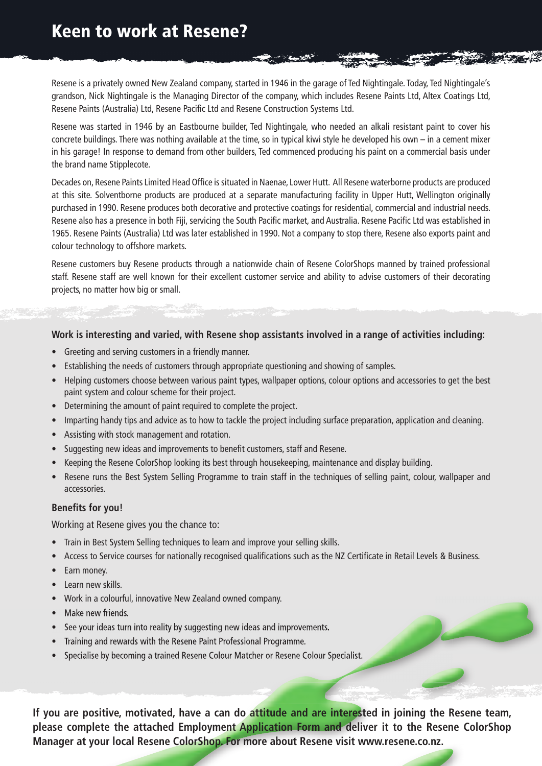## Keen to work at Resene?

Resene is a privately owned New Zealand company, started in 1946 in the garage of Ted Nightingale. Today, Ted Nightingale's grandson, Nick Nightingale is the Managing Director of the company, which includes Resene Paints Ltd, Altex Coatings Ltd, Resene Paints (Australia) Ltd, Resene Pacific Ltd and Resene Construction Systems Ltd.

Resene was started in 1946 by an Eastbourne builder, Ted Nightingale, who needed an alkali resistant paint to cover his concrete buildings. There was nothing available at the time, so in typical kiwi style he developed his own – in a cement mixer in his garage! In response to demand from other builders, Ted commenced producing his paint on a commercial basis under the brand name Stipplecote.

Decades on, Resene Paints Limited Head Office is situated in Naenae, Lower Hutt. All Resene waterborne products are produced at this site. Solventborne products are produced at a separate manufacturing facility in Upper Hutt, Wellington originally purchased in 1990. Resene produces both decorative and protective coatings for residential, commercial and industrial needs. Resene also has a presence in both Fiji, servicing the South Pacific market, and Australia. Resene Pacific Ltd was established in 1965. Resene Paints (Australia) Ltd was later established in 1990. Not a company to stop there, Resene also exports paint and colour technology to offshore markets.

Resene customers buy Resene products through a nationwide chain of Resene ColorShops manned by trained professional staff. Resene staff are well known for their excellent customer service and ability to advise customers of their decorating projects, no matter how big or small.

#### **Work is interesting and varied, with Resene shop assistants involved in a range of activities including:**

- Greeting and serving customers in a friendly manner.
- Establishing the needs of customers through appropriate questioning and showing of samples.
- Helping customers choose between various paint types, wallpaper options, colour options and accessories to get the best paint system and colour scheme for their project.
- Determining the amount of paint required to complete the project.
- Imparting handy tips and advice as to how to tackle the project including surface preparation, application and cleaning.
- Assisting with stock management and rotation.
- Suggesting new ideas and improvements to benefit customers, staff and Resene.
- Keeping the Resene ColorShop looking its best through housekeeping, maintenance and display building.
- Resene runs the Best System Selling Programme to train staff in the techniques of selling paint, colour, wallpaper and accessories.

#### **Benefits for you!**

Working at Resene gives you the chance to:

- Train in Best System Selling techniques to learn and improve your selling skills.
- Access to Service courses for nationally recognised qualifications such as the NZ Certificate in Retail Levels & Business.
- Earn money.
- Learn new skills.
- Work in a colourful, innovative New Zealand owned company.
- Make new friends.
- See your ideas turn into reality by suggesting new ideas and improvements.
- Training and rewards with the Resene Paint Professional Programme.
- Specialise by becoming a trained Resene Colour Matcher or Resene Colour Specialist.

**If you are positive, motivated, have a can do attitude and are interested in joining the Resene team, please complete the attached Employment Application Form and deliver it to the Resene ColorShop Manager at your local Resene ColorShop. For more about Resene visit www.resene.co.nz.**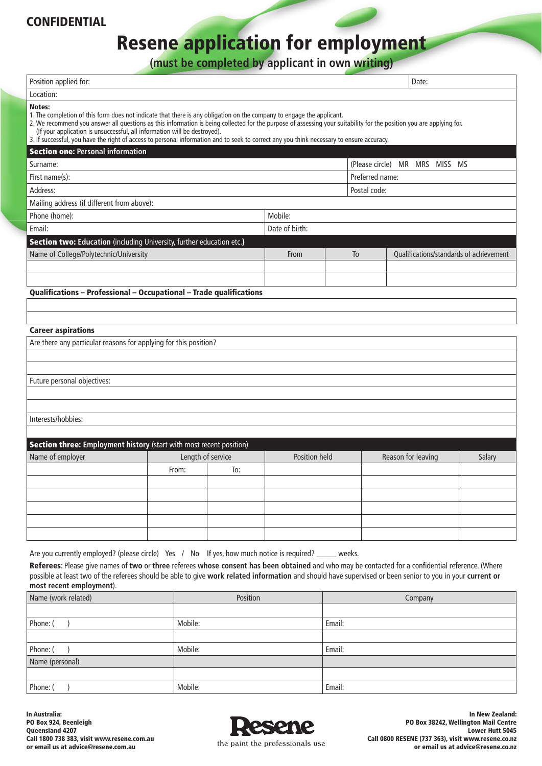### CONFIDENTIAL

# Resene application for employment

**(must be completed by applicant in own writing)**

|                                                                                                                                                                                                                                                                                                                                                                                                                                                                                                                                   |          | <b>Thust be completed by applicant in own writing</b> |                |               |                 |                                         |  |  |
|-----------------------------------------------------------------------------------------------------------------------------------------------------------------------------------------------------------------------------------------------------------------------------------------------------------------------------------------------------------------------------------------------------------------------------------------------------------------------------------------------------------------------------------|----------|-------------------------------------------------------|----------------|---------------|-----------------|-----------------------------------------|--|--|
| Position applied for:                                                                                                                                                                                                                                                                                                                                                                                                                                                                                                             |          |                                                       |                |               |                 | Date:                                   |  |  |
| Location:                                                                                                                                                                                                                                                                                                                                                                                                                                                                                                                         |          |                                                       |                |               |                 |                                         |  |  |
| Notes:<br>1. The completion of this form does not indicate that there is any obligation on the company to engage the applicant.<br>2. We recommend you answer all questions as this information is being collected for the purpose of assessing your suitability for the position you are applying for.<br>(If your application is unsuccessful, all information will be destroyed).<br>3. If successful, you have the right of access to personal information and to seek to correct any you think necessary to ensure accuracy. |          |                                                       |                |               |                 |                                         |  |  |
| <b>Section one: Personal information</b>                                                                                                                                                                                                                                                                                                                                                                                                                                                                                          |          |                                                       |                |               |                 |                                         |  |  |
| Surname:                                                                                                                                                                                                                                                                                                                                                                                                                                                                                                                          |          | (Please circle) MR MRS MISS MS                        |                |               |                 |                                         |  |  |
| First name(s):                                                                                                                                                                                                                                                                                                                                                                                                                                                                                                                    |          |                                                       |                |               | Preferred name: |                                         |  |  |
| Address:                                                                                                                                                                                                                                                                                                                                                                                                                                                                                                                          |          |                                                       |                |               | Postal code:    |                                         |  |  |
| Mailing address (if different from above):                                                                                                                                                                                                                                                                                                                                                                                                                                                                                        |          |                                                       |                |               |                 |                                         |  |  |
| Phone (home):<br>Mobile:                                                                                                                                                                                                                                                                                                                                                                                                                                                                                                          |          |                                                       |                |               |                 |                                         |  |  |
| Email:                                                                                                                                                                                                                                                                                                                                                                                                                                                                                                                            |          |                                                       | Date of birth: |               |                 |                                         |  |  |
| Section two: Education (including University, further education etc.)                                                                                                                                                                                                                                                                                                                                                                                                                                                             |          |                                                       |                |               |                 |                                         |  |  |
| Name of College/Polytechnic/University                                                                                                                                                                                                                                                                                                                                                                                                                                                                                            |          |                                                       | From           |               | To              | Qualifications/standards of achievement |  |  |
|                                                                                                                                                                                                                                                                                                                                                                                                                                                                                                                                   |          |                                                       |                |               |                 |                                         |  |  |
|                                                                                                                                                                                                                                                                                                                                                                                                                                                                                                                                   |          |                                                       |                |               |                 |                                         |  |  |
| Qualifications - Professional - Occupational - Trade qualifications                                                                                                                                                                                                                                                                                                                                                                                                                                                               |          |                                                       |                |               |                 |                                         |  |  |
|                                                                                                                                                                                                                                                                                                                                                                                                                                                                                                                                   |          |                                                       |                |               |                 |                                         |  |  |
|                                                                                                                                                                                                                                                                                                                                                                                                                                                                                                                                   |          |                                                       |                |               |                 |                                         |  |  |
| <b>Career aspirations</b>                                                                                                                                                                                                                                                                                                                                                                                                                                                                                                         |          |                                                       |                |               |                 |                                         |  |  |
| Are there any particular reasons for applying for this position?                                                                                                                                                                                                                                                                                                                                                                                                                                                                  |          |                                                       |                |               |                 |                                         |  |  |
|                                                                                                                                                                                                                                                                                                                                                                                                                                                                                                                                   |          |                                                       |                |               |                 |                                         |  |  |
| Future personal objectives:                                                                                                                                                                                                                                                                                                                                                                                                                                                                                                       |          |                                                       |                |               |                 |                                         |  |  |
|                                                                                                                                                                                                                                                                                                                                                                                                                                                                                                                                   |          |                                                       |                |               |                 |                                         |  |  |
|                                                                                                                                                                                                                                                                                                                                                                                                                                                                                                                                   |          |                                                       |                |               |                 |                                         |  |  |
| Interests/hobbies:                                                                                                                                                                                                                                                                                                                                                                                                                                                                                                                |          |                                                       |                |               |                 |                                         |  |  |
|                                                                                                                                                                                                                                                                                                                                                                                                                                                                                                                                   |          |                                                       |                |               |                 |                                         |  |  |
| Section three: Employment history (start with most recent position)                                                                                                                                                                                                                                                                                                                                                                                                                                                               |          |                                                       |                |               |                 |                                         |  |  |
| Name of employer                                                                                                                                                                                                                                                                                                                                                                                                                                                                                                                  |          | Length of service                                     |                | Position held |                 | Reason for leaving                      |  |  |
|                                                                                                                                                                                                                                                                                                                                                                                                                                                                                                                                   | From:    | To:                                                   |                |               |                 |                                         |  |  |
|                                                                                                                                                                                                                                                                                                                                                                                                                                                                                                                                   |          |                                                       |                |               |                 |                                         |  |  |
|                                                                                                                                                                                                                                                                                                                                                                                                                                                                                                                                   |          |                                                       |                |               |                 |                                         |  |  |
|                                                                                                                                                                                                                                                                                                                                                                                                                                                                                                                                   |          |                                                       |                |               |                 |                                         |  |  |
|                                                                                                                                                                                                                                                                                                                                                                                                                                                                                                                                   |          |                                                       |                |               |                 |                                         |  |  |
|                                                                                                                                                                                                                                                                                                                                                                                                                                                                                                                                   |          |                                                       |                |               |                 |                                         |  |  |
| Are you currently employed? (please circle) Yes / No If yes, how much notice is required?                                                                                                                                                                                                                                                                                                                                                                                                                                         |          |                                                       |                | weeks.        |                 |                                         |  |  |
| Referees: Please give names of two or three referees whose consent has been obtained and who may be contacted for a confidential reference. (Where                                                                                                                                                                                                                                                                                                                                                                                |          |                                                       |                |               |                 |                                         |  |  |
| possible at least two of the referees should be able to give work related information and should have supervised or been senior to you in your current or<br>most recent employment).                                                                                                                                                                                                                                                                                                                                             |          |                                                       |                |               |                 |                                         |  |  |
| Name (work related)                                                                                                                                                                                                                                                                                                                                                                                                                                                                                                               | Position |                                                       |                | Company       |                 |                                         |  |  |
|                                                                                                                                                                                                                                                                                                                                                                                                                                                                                                                                   |          |                                                       |                |               |                 |                                         |  |  |

| Name (work related) | Position | Company |
|---------------------|----------|---------|
|                     |          |         |
| Phone: (            | Mobile:  | Email:  |
|                     |          |         |
| Phone: (            | Mobile:  | Email:  |
| Name (personal)     |          |         |
|                     |          |         |
| Phone: (            | Mobile:  | Email:  |

In Australia: PO Box 924, Beenleigh Queensland 4207 Call 1800 738 383, visit www.resene.com.au or email us at advice@resene.com.au



In New Zealand: PO Box 38242, Wellington Mail Centre Lower Hutt 5045 Call 0800 RESENE (737 363), visit www.resene.co.nz or email us at advice@resene.co.nz